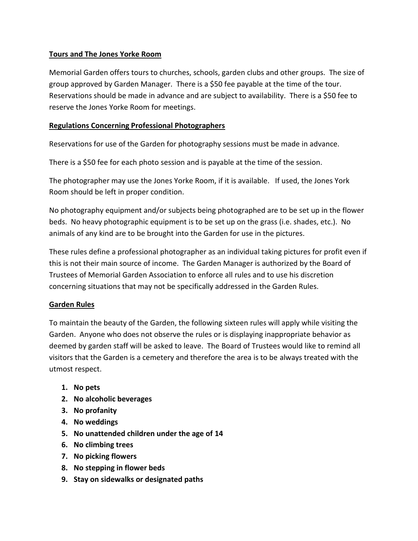## **Tours and The Jones Yorke Room**

Memorial Garden offers tours to churches, schools, garden clubs and other groups. The size of group approved by Garden Manager. There is a \$50 fee payable at the time of the tour. Reservations should be made in advance and are subject to availability. There is a \$50 fee to reserve the Jones Yorke Room for meetings.

## **Regulations Concerning Professional Photographers**

Reservations for use of the Garden for photography sessions must be made in advance.

There is a \$50 fee for each photo session and is payable at the time of the session.

The photographer may use the Jones Yorke Room, if it is available. If used, the Jones York Room should be left in proper condition.

No photography equipment and/or subjects being photographed are to be set up in the flower beds. No heavy photographic equipment is to be set up on the grass (i.e. shades, etc.). No animals of any kind are to be brought into the Garden for use in the pictures.

These rules define a professional photographer as an individual taking pictures for profit even if this is not their main source of income. The Garden Manager is authorized by the Board of Trustees of Memorial Garden Association to enforce all rules and to use his discretion concerning situations that may not be specifically addressed in the Garden Rules.

## **Garden Rules**

To maintain the beauty of the Garden, the following sixteen rules will apply while visiting the Garden. Anyone who does not observe the rules or is displaying inappropriate behavior as deemed by garden staff will be asked to leave. The Board of Trustees would like to remind all visitors that the Garden is a cemetery and therefore the area is to be always treated with the utmost respect.

- **1. No pets**
- **2. No alcoholic beverages**
- **3. No profanity**
- **4. No weddings**
- **5. No unattended children under the age of 14**
- **6. No climbing trees**
- **7. No picking flowers**
- **8. No stepping in flower beds**
- **9. Stay on sidewalks or designated paths**